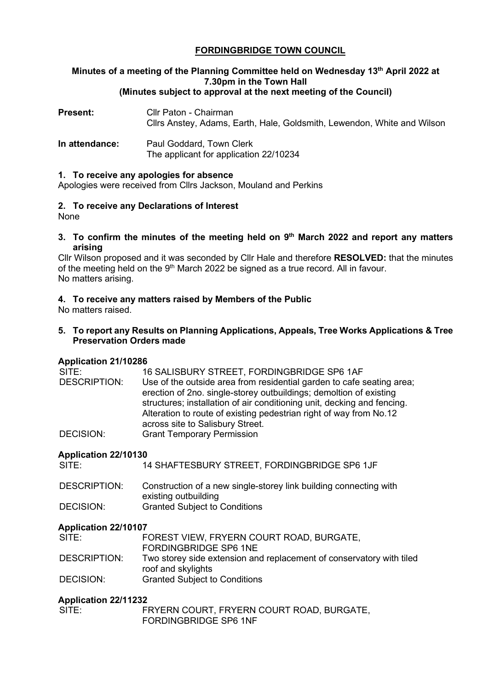# **FORDINGBRIDGE TOWN COUNCIL**

# **Minutes of a meeting of the Planning Committee held on Wednesday 13th April 2022 at 7.30pm in the Town Hall**

# **(Minutes subject to approval at the next meeting of the Council)**

| <b>Present:</b> | Cllr Paton - Chairman<br>Cllrs Anstey, Adams, Earth, Hale, Goldsmith, Lewendon, White and Wilson |
|-----------------|--------------------------------------------------------------------------------------------------|
| In attendance:  | Paul Goddard, Town Clerk<br>The applicant for application 22/10234                               |

#### **1. To receive any apologies for absence**

Apologies were received from Cllrs Jackson, Mouland and Perkins

# **2. To receive any Declarations of Interest**

None

**3. To confirm the minutes of the meeting held on 9th March 2022 and report any matters arising**

Cllr Wilson proposed and it was seconded by Cllr Hale and therefore **RESOLVED:** that the minutes of the meeting held on the  $9<sup>th</sup>$  March 2022 be signed as a true record. All in favour. No matters arising.

## **4. To receive any matters raised by Members of the Public**

No matters raised.

**5. To report any Results on Planning Applications, Appeals, Tree Works Applications & Tree Preservation Orders made**

## **Application 21/10286**

| SITE:               | 16 SALISBURY STREET, FORDINGBRIDGE SP6 1AF                                                                                                                                                                                                                                                                                       |
|---------------------|----------------------------------------------------------------------------------------------------------------------------------------------------------------------------------------------------------------------------------------------------------------------------------------------------------------------------------|
| <b>DESCRIPTION:</b> | Use of the outside area from residential garden to cafe seating area;<br>erection of 2no. single-storey outbuildings; demoltion of existing<br>structures; installation of air conditioning unit, decking and fencing.<br>Alteration to route of existing pedestrian right of way from No.12<br>across site to Salisbury Street. |
| DECISION:           | <b>Grant Temporary Permission</b>                                                                                                                                                                                                                                                                                                |

## **Application 22/10130**

| SITE: | 14 SHAFTESBURY STREET, FORDINGBRIDGE SP6 1JF |  |
|-------|----------------------------------------------|--|
|-------|----------------------------------------------|--|

| DESCRIPTION: | Construction of a new single-storey link building connecting with |
|--------------|-------------------------------------------------------------------|
|              | existing outbuilding                                              |
| DECISION:    | <b>Granted Subject to Conditions</b>                              |

## **Application 22/10107**

| SITE:        | FOREST VIEW, FRYERN COURT ROAD, BURGATE,                             |
|--------------|----------------------------------------------------------------------|
|              | FORDINGBRIDGE SP6 1NE                                                |
| DESCRIPTION: | Two storey side extension and replacement of conservatory with tiled |
|              | roof and skylights                                                   |
| DECISION:    | <b>Granted Subject to Conditions</b>                                 |

## **Application 22/11232**

| SITE: | FRYERN COURT, FRYERN COURT ROAD, BURGATE, |
|-------|-------------------------------------------|
|       | FORDINGBRIDGE SP6 1NF                     |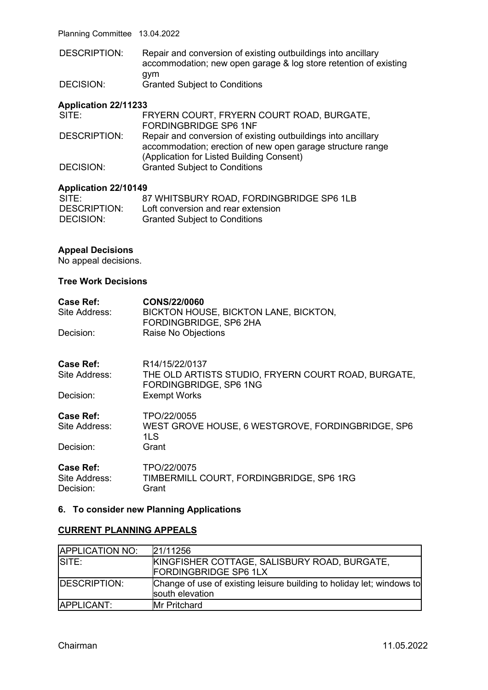Planning Committee 13.04.2022

DESCRIPTION: Repair and conversion of existing outbuildings into ancillary accommodation; new open garage & log store retention of existing gym DECISION: Granted Subject to Conditions

#### **Application 22/11233**

| FRYERN COURT, FRYERN COURT ROAD, BURGATE,                     |
|---------------------------------------------------------------|
| FORDINGBRIDGE SP6 1NF                                         |
| Repair and conversion of existing outbuildings into ancillary |
| accommodation; erection of new open garage structure range    |
| (Application for Listed Building Consent)                     |
| <b>Granted Subject to Conditions</b>                          |
|                                                               |

#### **Application 22/10149**

| SITE:        | 87 WHITSBURY ROAD, FORDINGBRIDGE SP6 1LB |
|--------------|------------------------------------------|
| DESCRIPTION: | Loft conversion and rear extension       |
| DECISION:    | <b>Granted Subject to Conditions</b>     |

#### **Appeal Decisions**

No appeal decisions.

#### **Tree Work Decisions**

| Case Ref:                  | CONS/22/0060                                                                  |
|----------------------------|-------------------------------------------------------------------------------|
| Site Address:              | BICKTON HOUSE, BICKTON LANE, BICKTON,<br>FORDINGBRIDGE, SP6 2HA               |
| Decision:                  | Raise No Objections                                                           |
| <b>Case Ref:</b>           | R <sub>14</sub> /15/22/0137                                                   |
| Site Address:              | THE OLD ARTISTS STUDIO, FRYERN COURT ROAD, BURGATE,<br>FORDINGBRIDGE, SP6 1NG |
| Decision:                  | <b>Exempt Works</b>                                                           |
| Case Ref:                  | TPO/22/0055                                                                   |
| Site Address:              | WEST GROVE HOUSE, 6 WESTGROVE, FORDINGBRIDGE, SP6<br>1LS                      |
| Decision:                  | Grant                                                                         |
| Case Ref:                  | TPO/22/0075                                                                   |
| Site Address:<br>Decision: | TIMBERMILL COURT, FORDINGBRIDGE, SP6 1RG<br>Grant                             |

#### **6. To consider new Planning Applications**

#### **CURRENT PLANNING APPEALS**

| <b>APPLICATION NO:</b> | 21/11256                                                                                 |
|------------------------|------------------------------------------------------------------------------------------|
| SITE:                  | KINGFISHER COTTAGE, SALISBURY ROAD, BURGATE,<br><b>FORDINGBRIDGE SP6 1LX</b>             |
| <b>IDESCRIPTION:</b>   | Change of use of existing leisure building to holiday let; windows to<br>south elevation |
| APPLICANT:             | <b>Mr Pritchard</b>                                                                      |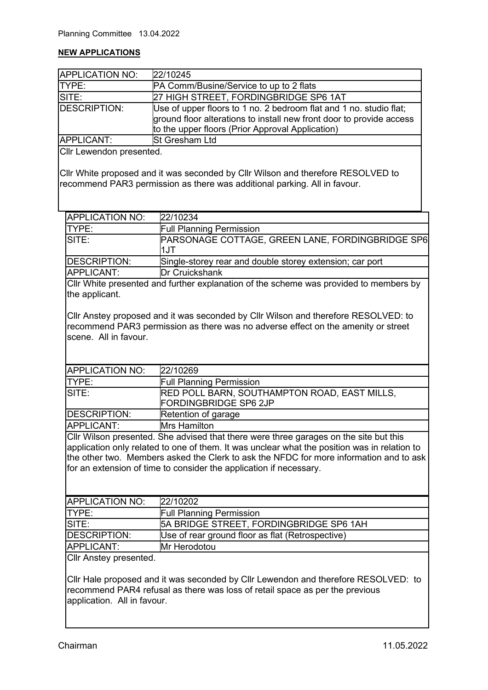#### **NEW APPLICATIONS**

| APPLICATION NO: | 22/10245                                                                                                                                                                                       |
|-----------------|------------------------------------------------------------------------------------------------------------------------------------------------------------------------------------------------|
| <b>TYPE:</b>    | <b>PA Comm/Busine/Service to up to 2 flats</b>                                                                                                                                                 |
| SITE:           | 27 HIGH STREET, FORDINGBRIDGE SP6 1AT                                                                                                                                                          |
| DESCRIPTION:    | Use of upper floors to 1 no. 2 bedroom flat and 1 no. studio flat;<br>ground floor alterations to install new front door to provide access<br>to the upper floors (Prior Approval Application) |
| APPLICANT:      | <b>St Gresham Ltd</b>                                                                                                                                                                          |

Cllr Lewendon presented.

Cllr White proposed and it was seconded by Cllr Wilson and therefore RESOLVED to recommend PAR3 permission as there was additional parking. All in favour.

| <b>APPLICATION NO:</b> | 22/10234                                                        |
|------------------------|-----------------------------------------------------------------|
| <b>ITYPE:</b>          | <b>Full Planning Permission</b>                                 |
| SITE:                  | <b>PARSONAGE COTTAGE, GREEN LANE, FORDINGBRIDGE SP6</b><br>1.JT |
| <b>IDESCRIPTION:</b>   | Single-storey rear and double storey extension; car port        |
| <b>APPLICANT:</b>      | <b>Dr Cruickshank</b>                                           |

Cllr White presented and further explanation of the scheme was provided to members by the applicant.

Cllr Anstey proposed and it was seconded by Cllr Wilson and therefore RESOLVED: to recommend PAR3 permission as there was no adverse effect on the amenity or street scene. All in favour.

| <b>APPLICATION NO:</b> | 22/10269                                            |
|------------------------|-----------------------------------------------------|
| <b>TYPE:</b>           | <b>Full Planning Permission</b>                     |
| SITE:                  | <b>RED POLL BARN, SOUTHAMPTON ROAD, EAST MILLS,</b> |
|                        | <b>FORDINGBRIDGE SP6 2JP</b>                        |
| DESCRIPTION:           | Retention of garage                                 |
| APPLICANT:             | <b>Mrs Hamilton</b>                                 |

Cllr Wilson presented. She advised that there were three garages on the site but this application only related to one of them. It was unclear what the position was in relation to the other two. Members asked the Clerk to ask the NFDC for more information and to ask for an extension of time to consider the application if necessary.

| <b>APPLICATION NO:</b> | 22/10202                                         |
|------------------------|--------------------------------------------------|
| ITYPE:                 | <b>Full Planning Permission</b>                  |
| SITE:                  | 5A BRIDGE STREET, FORDINGBRIDGE SP6 1AH          |
| DESCRIPTION:           | Use of rear ground floor as flat (Retrospective) |
| APPLICANT:             | <b>IMr Herodotou</b>                             |
|                        |                                                  |

Cllr Anstey presented.

Cllr Hale proposed and it was seconded by Cllr Lewendon and therefore RESOLVED: to recommend PAR4 refusal as there was loss of retail space as per the previous application. All in favour.